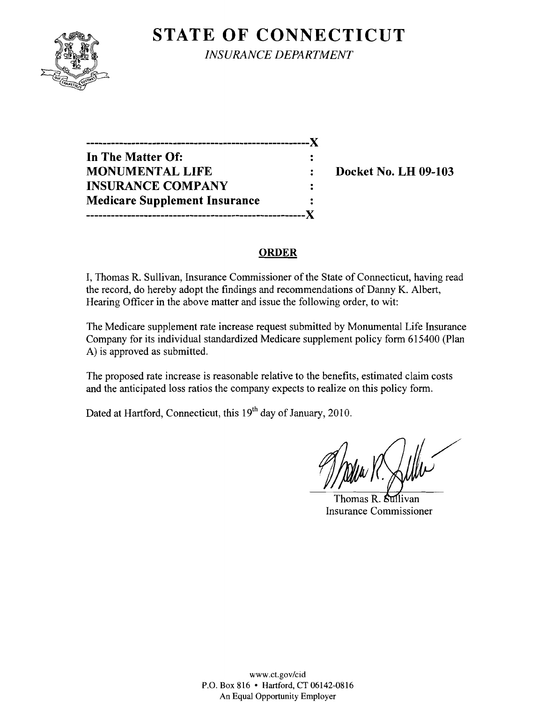

**STATE OF CONNECTICUT** *INSURANCE DEPARTMENT* 

**------------------------------------------------------)( In The Matter Of: MONUMENTAL LIFE : Docket No. LH 09-103 INSURANCE COMPANY**  $\ddot{\cdot}$ **Medicare Supplement Insurance -----------------------------------------------------)(** 

## **ORDER**

I, Thomas R. Sullivan, Insurance Commissioner of the State of Connecticut, having read the record, do hereby adopt the findings and recommendations of Danny K. Albert, Hearing Officer **in** the above matter and issue the following order, to wit:

The Medicare supplement rate increase request submitted by Monumental Life Insurance Company for its individual standardized Medicare supplement policy form 615400 (Plan A) is approved as submitted.

The proposed rate increase is reasonable relative to the benefits, estimated claim costs and the anticipated loss ratios the company expects to realize on this policy form.

Dated at Hartford, Connecticut, this 19<sup>th</sup> day of January, 2010.

Thomas R. Sullivan Insurance Commissioner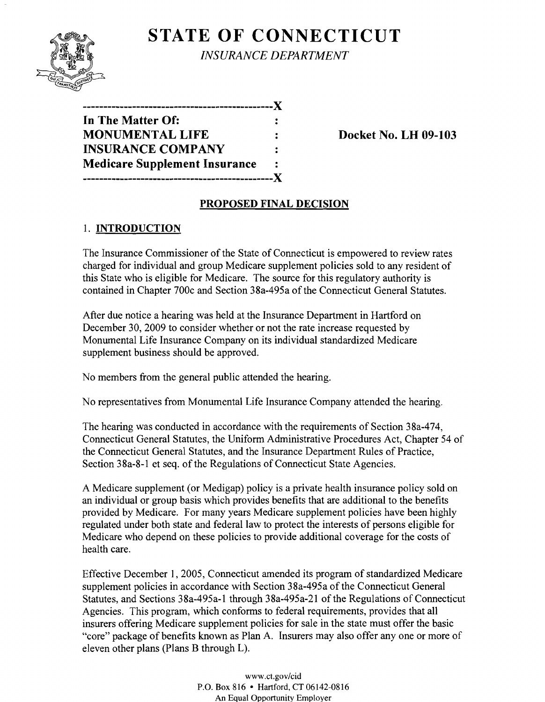# **STATE OF CONNECTICUT**



*INSURANCE DEPARTMENT* 

| ---------------                      |    |
|--------------------------------------|----|
| In The Matter Of:                    |    |
| <b>MONUMENTAL LIFE</b>               |    |
| <b>INSURANCE COMPANY</b>             | ٠. |
| <b>Medicare Supplement Insurance</b> |    |
| ,,,,,,,,,,,,,,,,,,,,,,,,,,,,,        |    |

**Docket No. LH 09-103** 

## **PROPOSED FINAL DECISION**

## 1. **INTRODUCTION**

The Insurance Commissioner of the State of Connecticut is empowered to review rates charged for individual and group Medicare supplement policies sold to any resident of this State who is eligible for Medicare. The source for this regulatory authority is contained in Chapter 700c and Section 38a-495a ofthe Connecticut General Statutes.

After due notice a hearing was held at the Insurance Department in Hartford on December 30, 2009 to consider whether or not the rate increase requested by Monumental Life Insurance Company on its individual standardized Medicare supplement business should be approved.

No members from the general public attended the hearing.

No representatives from Monumental Life Insurance Company attended the hearing.

The hearing was conducted in accordance with the requirements of Section 38a-474, Connecticut General Statutes, the Uniform Administrative Procedures Act, Chapter 54 of the Connecticut General Statutes, and the Insurance Department Rules of Practice, Section 38a-8-1 et seq. of the Regulations of Connecticut State Agencies.

A Medicare supplement (or Medigap) policy is a private health insurance policy sold on an individual or group basis which provides benefits that are additional to the benefits provided by Medicare. For many years Medicare supplement policies have been highly regulated under both state and federal law to protect the interests of persons eligible for Medicare who depend on these policies to provide additional coverage for the costs of health care.

Effective December 1,2005, Connecticut amended its program of standardized Medicare supplement policies in accordance with Section 38a-495a of the Connecticut General Statutes, and Sections 38a-495a-1 through 38a-495a-21 of the Regulations of Connecticut Agencies. This program, which conforms to federal requirements, provides that all insurers offering Medicare supplement policies for sale in the state must offer the basic "core" package of benefits known as Plan A. Insurers may also offer anyone or more of eleven other plans (Plans B through L).

> www.ct.gov/cid P.O. Box 816 • Hartford, CT 06142-0816 An Equal Opportunity Employer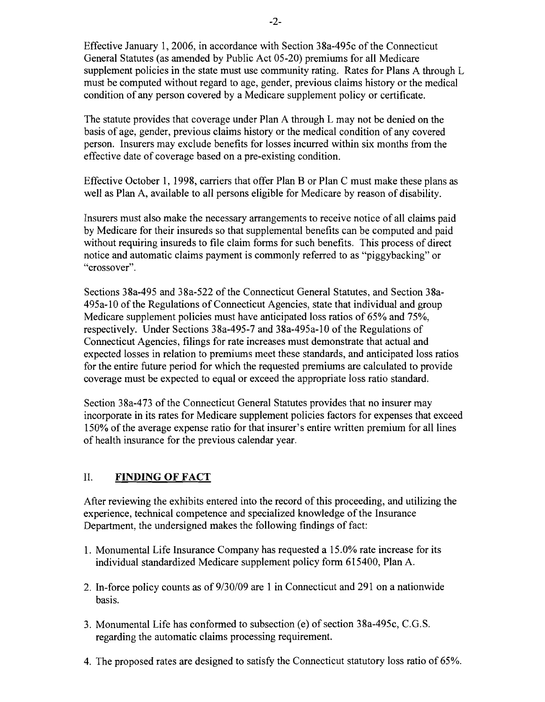Effective January 1,2006, in accordance with Section 38a-495c of the Connecticut General Statutes (as amended by Public Act 05-20) premiums for all Medicare supplement policies in the state must use community rating. Rates for Plans A through L must be computed without regard to age, gender, previous claims history or the medical condition of any person covered by a Medicare supplement policy or certificate.

The statute provides that coverage under Plan A through L may not be denied on the basis of age, gender, previous claims history or the medical condition of any covered person. Insurers may exclude benefits for losses incurred within six months from the effective date of coverage based on a pre-existing condition.

Effective October 1, 1998, carriers that offer Plan B or Plan C must make these plans as well as Plan A, available to all persons eligible for Medicare by reason of disability.

Insurers must also make the necessary arrangements to receive notice of all claims paid by Medicare for their insureds so that supplemental benefits can be computed and paid without requiring insureds to file claim forms for such benefits. This process of direct notice and automatic claims payment is commonly referred to as "piggybacking" or "crossover".

Sections 38a-495 and 38a-522 of the Connecticut General Statutes, and Section 38a-495a-l0 of the Regulations of Connecticut Agencies, state that individual and group Medicare supplement policies must have anticipated loss ratios of 65% and 75%, respectively. Under Sections 38a-495-7 and 38a-495a-10 of the Regulations of Connecticut Agencies, filings for rate increases must demonstrate that actual and expected losses in relation to premiums meet these standards, and anticipated loss ratios for the entire future period for which the requested premiums are calculated to provide coverage must be expected to equal or exceed the appropriate loss ratio standard.

Section 38a-473 of the Connecticut General Statutes provides that no insurer may incorporate in its rates for Medicare supplement policies factors for expenses that exceed 150% of the average expense ratio for that insurer's entire written premium for all lines of health insurance for the previous calendar year.

#### II. **FINDING OF FACT**

After reviewing the exhibits entered into the record of this proceeding, and utilizing the experience, technical competence and specialized knowledge of the Insurance Department, the undersigned makes the following findings of fact:

- 1. Monumental Life Insurance Company has requested a 15.0% rate increase for its individual standardized Medicare supplement policy form 615400, Plan A.
- 2. In-force policy counts as of 9/30/09 are 1 in Connecticut and 291 on a nationwide basis.
- 3. Monumental Life has conformed to subsection (e) of section 38a-495c, C.G.S. regarding the automatic claims processing requirement.
- 4. The proposed rates are designed to satisfy the Connecticut statutory loss ratio of 65%.